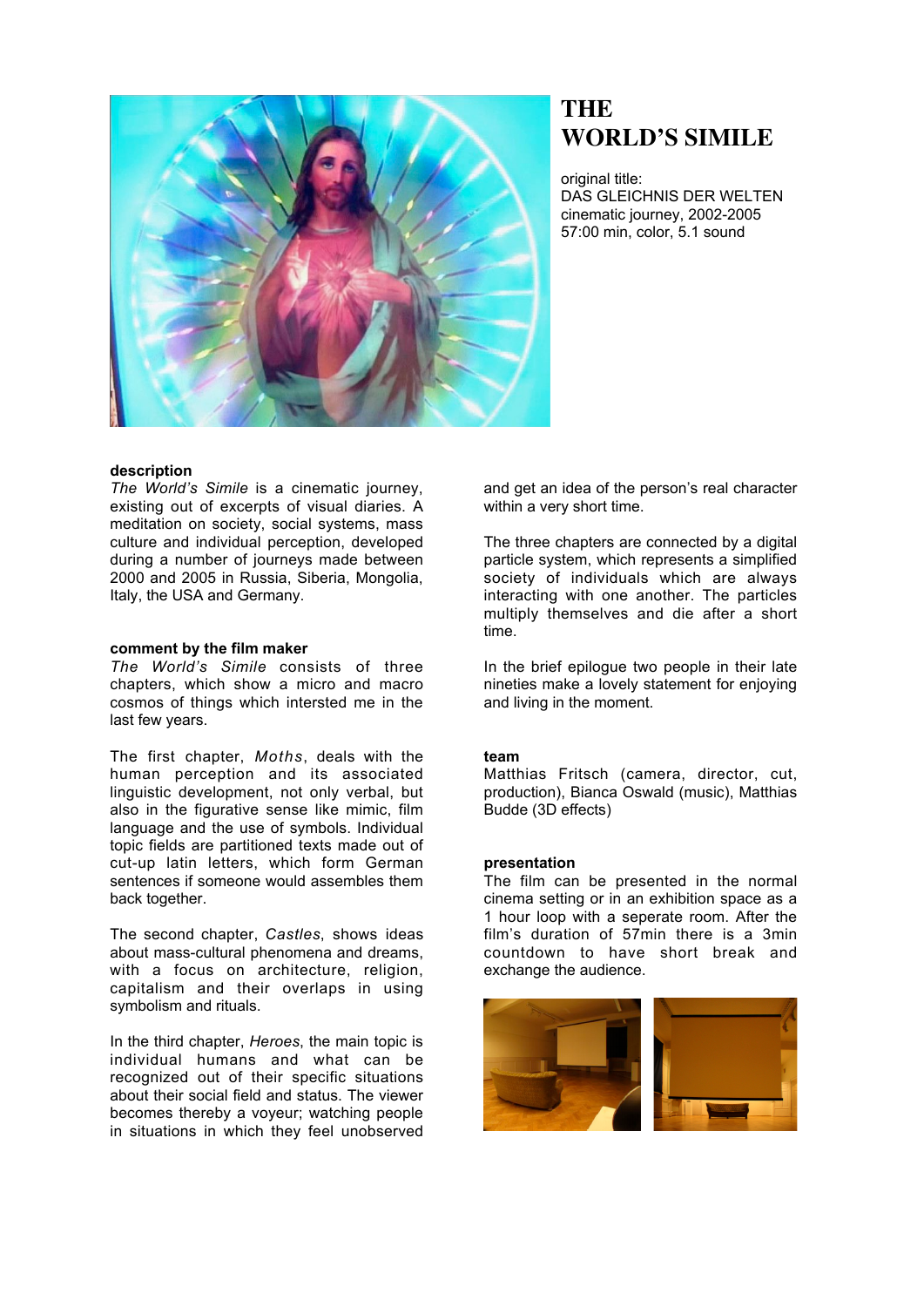

# **THE WORLD'S SIMILE**

original title: DAS GLEICHNIS DER WELTEN cinematic journey, 2002-2005 57:00 min, color, 5.1 sound

## **description**

*The World's Simile* is a cinematic journey, existing out of excerpts of visual diaries. A meditation on society, social systems, mass culture and individual perception, developed during a number of journeys made between 2000 and 2005 in Russia, Siberia, Mongolia, Italy, the USA and Germany.

### **comment by the film maker**

*The World's Simile* consists of three chapters, which show a micro and macro cosmos of things which intersted me in the last few years.

The first chapter, *Moths*, deals with the human perception and its associated linguistic development, not only verbal, but also in the figurative sense like mimic, film language and the use of symbols. Individual topic fields are partitioned texts made out of cut-up latin letters, which form German sentences if someone would assembles them back together.

The second chapter, *Castles*, shows ideas about mass-cultural phenomena and dreams, with a focus on architecture, religion, capitalism and their overlaps in using symbolism and rituals.

In the third chapter, *Heroes*, the main topic is individual humans and what can be recognized out of their specific situations about their social field and status. The viewer becomes thereby a voyeur; watching people in situations in which they feel unobserved and get an idea of the person's real character within a very short time.

The three chapters are connected by a digital particle system, which represents a simplified society of individuals which are always interacting with one another. The particles multiply themselves and die after a short time.

In the brief epilogue two people in their late nineties make a lovely statement for enjoying and living in the moment.

### **team**

Matthias Fritsch (camera, director, cut, production), Bianca Oswald (music), Matthias Budde (3D effects)

#### **presentation**

The film can be presented in the normal cinema setting or in an exhibition space as a 1 hour loop with a seperate room. After the film's duration of 57min there is a 3min countdown to have short break and exchange the audience.